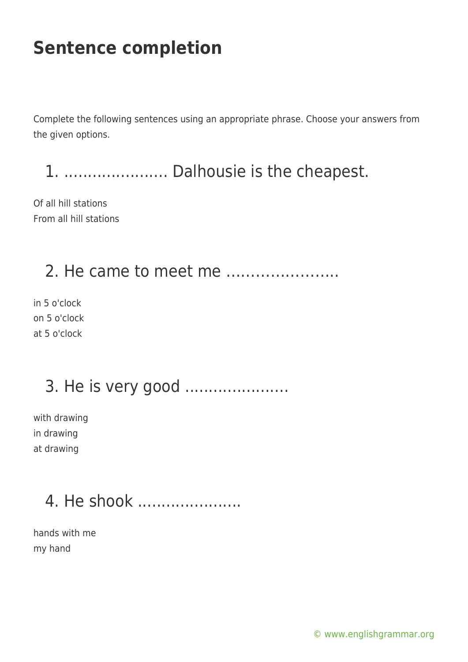Complete the following sentences using an appropriate phrase. Choose your answers from the given options.

1. ...................... Dalhousie is the cheapest.

Of all hill stations From all hill stations

#### 2. He came to meet me …………………..

in 5 o'clock on 5 o'clock at 5 o'clock

# 3. He is very good ......................

with drawing in drawing at drawing

# 4. He shook ......................

hands with me my hand

[© www.englishgrammar.org](https://www.englishgrammar.org/)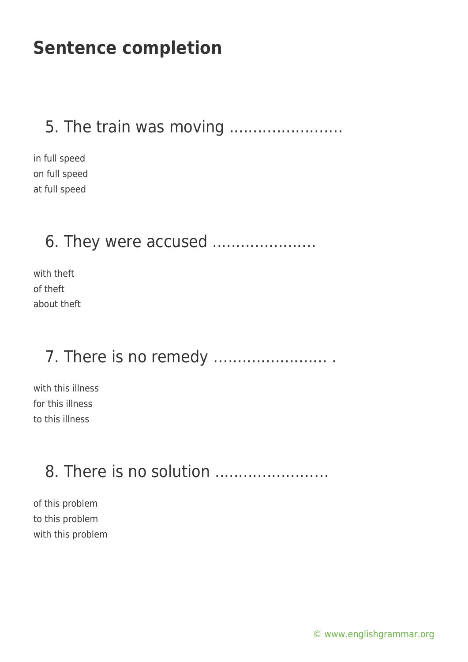#### 5. The train was moving .....................…

in full speed on full speed at full speed

#### 6. They were accused ......................

with theft of theft about theft

### 7. There is no remedy ............................

with this illness for this illness to this illness

# 8. There is no solution .....................…

of this problem to this problem with this problem

[© www.englishgrammar.org](https://www.englishgrammar.org/)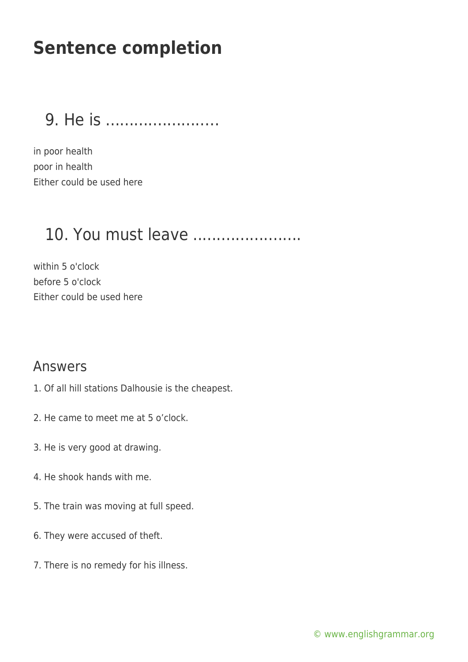9. He is ........................

in poor health poor in health Either could be used here

### 10. You must leave .......................

within 5 o'clock before 5 o'clock Either could be used here

#### Answers

- 1. Of all hill stations Dalhousie is the cheapest.
- 2. He came to meet me at 5 o'clock.
- 3. He is very good at drawing.
- 4. He shook hands with me.
- 5. The train was moving at full speed.
- 6. They were accused of theft.
- 7. There is no remedy for his illness.